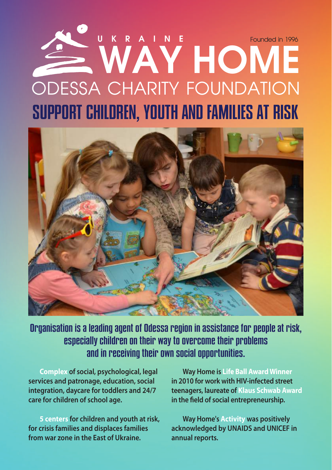# SUPPORT CHILDREN, YOUTH AND FAMILIES AT RISK **WAY HOME** ODESSA CHARITY FOUNDATION **UKRAINE** Founded in 1996



Organisation is a leading agent of Odessa region in assistance for people at risk, especially children on their way to overcome their problems and in receiving their own social opportunities.

**Complex of social, psychological, legal services and patronage, education, social integration, daycare for toddlers and 24/7 care for children of school age.** 

**5 centers for children and youth at risk, for crisis families and displaces families from war zone in the East of Ukraine.**

**Way Home is Life Ball Award Winner in 2010 for work with HIV-infected street teenagers, laureate of Klaus Schwab Award in the field of social entrepreneurship.**

**Way Home's Activity was positively acknowledged by UNAIDS and UNICEF in annual reports.**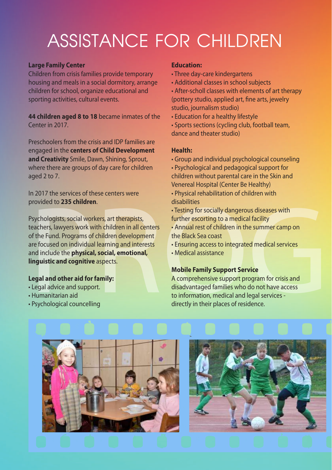# ASSISTANCE FOR CHILDREN

#### **Large Family Center**

Children from crisis families provide temporary housing and meals in a social dormitory, arrange children for school, organize educational and sporting activities, cultural events.

**44 children aged 8 to 18** became inmates of the Center in 2017.

Preschoolers from the crisis and IDP families are engaged in the **centers of Child Development and Creativity** Smile, Dawn, Shining, Sprout, where there are groups of day care for children aged 2 to 7.

In 2017 the services of these centers were provided to **235 children**.

movided to **235 children.**<br>
Provided to **235 children.**<br>
Provided to **235 children** in all centers<br>
Programs of children in all centers<br>
Festing for socially dangerous diseases with<br>
Programs of children in the Back Sea co Psychologists, social workers, art therapists, teachers, lawyers work with children in all centers of the Fund. Programs of children development are focused on individual learning and interests and include the **physical, social, emotional, linguistic and cognitive** aspects.

# **Legal and other aid for family:**

- Legal advice and support.
- Humanitarian aid
- Psychological councelling

#### **Education:**

- Three day-care kindergartens
- Additional classes in school subjects

• After-scholl classes with elements of art therapy (pottery studio, applied art, fine arts, jewelry studio, journalism studio)

- Education for a healthy lifestyle
- Sports sections (cycling club, football team, dance and theater studio)

# **Health:**

• Group and individual psychological counseling

• Psychological and pedagogical support for children without parental care in the Skin and Venereal Hospital (Center Be Healthy)

• Physical rehabilitation of children with disabilities

• Testing for socially dangerous diseases with further escorting to a medical facility

- Annual rest of children in the summer camp on the Black Sea coast
- Ensuring access to integrated medical services
- Medical assistance

# **Mobile Family Support Service**

A comprehensive support program for crisis and disadvantaged families who do not have access to information, medical and legal services directly in their places of residence.



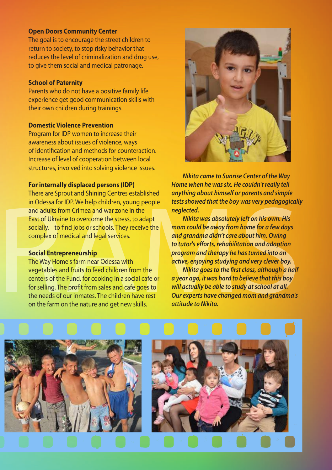#### **Open Doors Community Center**

The goal is to encourage the street children to return to society, to stop risky behavior that reduces the level of criminalization and drug use, to give them social and medical patronage.

#### **School of Paternity**

Parents who do not have a positive family life experience get good communication skills with their own children during trainings.

#### **Domestic Violence Prevention**

Program for IDP women to increase their awareness about issues of violence, ways of identification and methods for counteraction. Increase of level of cooperation between local structures, involved into solving violence issues.

#### **For internally displaced persons (IDP)**

There are Sprout and Shining Centres established in Odessa for IDP. We help children, young people and adults from Crimea and war zone in the East of Ukraine to overcome the stress, to adapt socially, to find jobs or schools. They receive the complex of medical and legal services.

#### **Social Entrepreneurship**

in Odessa for IDP. We help children, young people<br>and adults from Crimea and war zone in the<br>East of Ukraine to overcome the stress, to adapt<br>and adults from Crimea and war zone in the<br>socially, to find jobs or schools. Th The Way Home's farm near Odessa with vegetables and fruits to feed children from the centers of the Fund, for cooking in a social cafe or for selling. The profit from sales and cafe goes to the needs of our inmates. The children have rest on the farm on the nature and get new skills.



*Nikita came to Sunrise Center of the Way Home when he was six. He couldn't really tell anything about himself or parents and simple tests showed that the boy was very pedagogically neglected.* 

*Nikita was absolutely left on his own. His mom could be away from home for a few days and grandma didn't care about him. Owing to tutor's efforts, rehabilitation and adaption program and therapy he has turned into an active, enjoying studying and very clever boy.* 

*Nikita goes to the first class, although a half a year ago, it was hard to believe that this boy will actually be able to study at school at all. Our experts have changed mom and grandma's attitude to Nikita.*